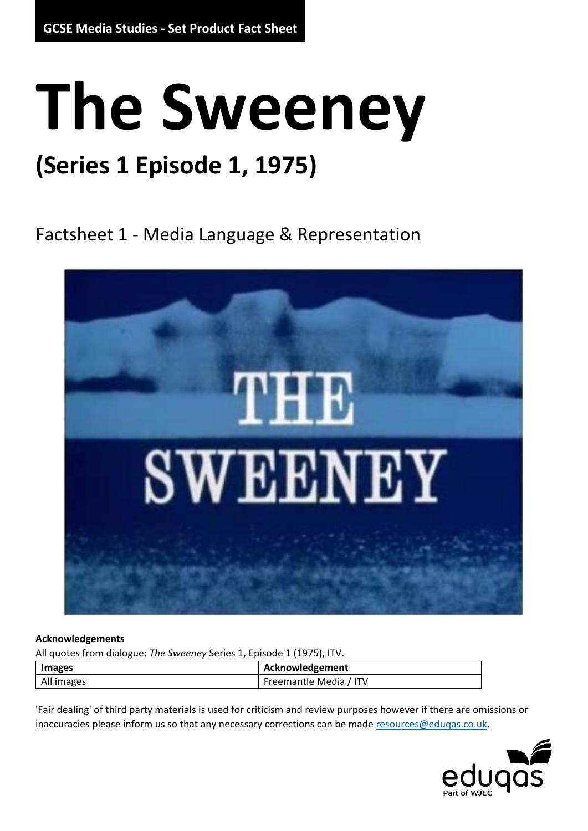## **The Sweeney**

## **(Series 1 Episode 1, 1975)**

Factsheet 1 - Media Language & Representation



#### **Acknowledgements**

All quotes from dialogue: *The Sweeney* Series 1, Episode 1 (1975), ITV.

| Images     |  | Acknowledgement        |
|------------|--|------------------------|
| All images |  | Freemantle Media / ITV |

'Fair dealing' of third party materials is used for criticism and review purposes however if there are omissions or inaccuracies please inform us so that any necessary corrections can be mad[e resources@eduqas.co.uk.](mailto:resources@eduqas.co.uk)

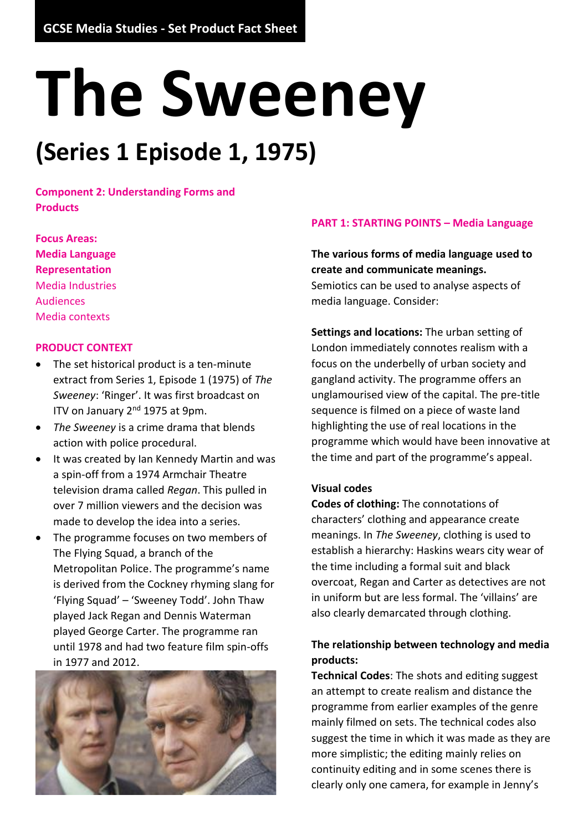# **The Sweeney**

## **(Series 1 Episode 1, 1975)**

**Component 2: Understanding Forms and Products**

**Focus Areas: Media Language Representation** Media Industries Audiences Media contexts

#### **PRODUCT CONTEXT**

- The set historical product is a ten-minute extract from Series 1, Episode 1 (1975) of *The Sweeney*: 'Ringer'. It was first broadcast on ITV on January 2<sup>nd</sup> 1975 at 9pm.
- *The Sweeney* is a crime drama that blends action with police procedural.
- It was created by Ian Kennedy Martin and was a spin-off from a 1974 Armchair Theatre television drama called *Regan*. This pulled in over 7 million viewers and the decision was made to develop the idea into a series.
- The programme focuses on two members of The Flying Squad, a branch of the Metropolitan Police. The programme's name is derived from the Cockney rhyming slang for 'Flying Squad' – 'Sweeney Todd'. John Thaw played Jack Regan and Dennis Waterman played George Carter. The programme ran until 1978 and had two feature film spin-offs in 1977 and 2012.



#### **PART 1: STARTING POINTS – Media Language**

#### **The various forms of media language used to create and communicate meanings.**  Semiotics can be used to analyse aspects of media language. Consider:

**Settings and locations:** The urban setting of London immediately connotes realism with a focus on the underbelly of urban society and gangland activity. The programme offers an unglamourised view of the capital. The pre-title sequence is filmed on a piece of waste land highlighting the use of real locations in the programme which would have been innovative at the time and part of the programme's appeal.

#### **Visual codes**

**Codes of clothing:** The connotations of characters' clothing and appearance create meanings. In *The Sweeney*, clothing is used to establish a hierarchy: Haskins wears city wear of the time including a formal suit and black overcoat, Regan and Carter as detectives are not in uniform but are less formal. The 'villains' are also clearly demarcated through clothing.

#### **The relationship between technology and media products:**

**Technical Codes**: The shots and editing suggest an attempt to create realism and distance the programme from earlier examples of the genre mainly filmed on sets. The technical codes also suggest the time in which it was made as they are more simplistic; the editing mainly relies on continuity editing and in some scenes there is clearly only one camera, for example in Jenny's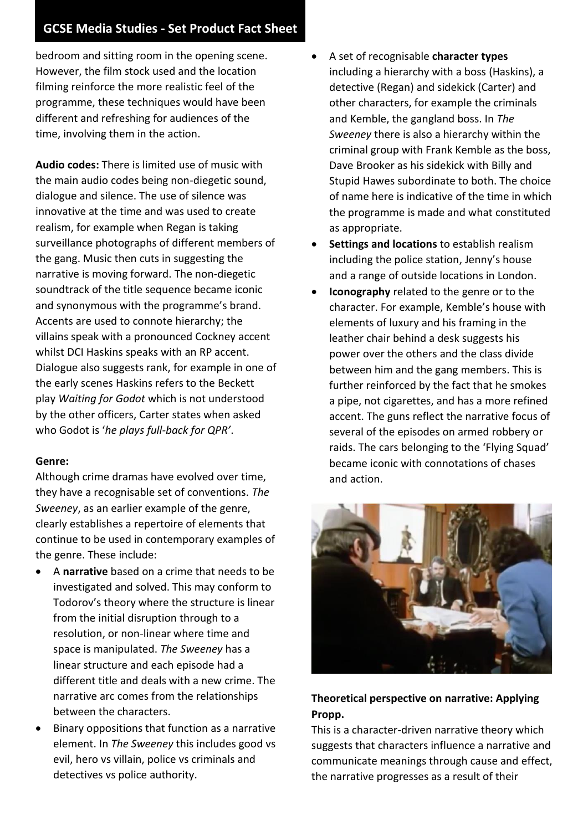#### **GCSE Media Studies - Set Product Fact Sheet**

bedroom and sitting room in the opening scene. However, the film stock used and the location filming reinforce the more realistic feel of the programme, these techniques would have been different and refreshing for audiences of the time, involving them in the action.

**Audio codes:** There is limited use of music with the main audio codes being non-diegetic sound, dialogue and silence. The use of silence was innovative at the time and was used to create realism, for example when Regan is taking surveillance photographs of different members of the gang. Music then cuts in suggesting the narrative is moving forward. The non-diegetic soundtrack of the title sequence became iconic and synonymous with the programme's brand. Accents are used to connote hierarchy; the villains speak with a pronounced Cockney accent whilst DCI Haskins speaks with an RP accent. Dialogue also suggests rank, for example in one of the early scenes Haskins refers to the Beckett play *Waiting for Godot* which is not understood by the other officers, Carter states when asked who Godot is '*he plays full-back for QPR'*.

#### **Genre:**

Although crime dramas have evolved over time, they have a recognisable set of conventions. *The Sweeney*, as an earlier example of the genre, clearly establishes a repertoire of elements that continue to be used in contemporary examples of the genre. These include:

- A **narrative** based on a crime that needs to be investigated and solved. This may conform to Todorov's theory where the structure is linear from the initial disruption through to a resolution, or non-linear where time and space is manipulated. *The Sweeney* has a linear structure and each episode had a different title and deals with a new crime. The narrative arc comes from the relationships between the characters.
- Binary oppositions that function as a narrative element. In *The Sweeney* this includes good vs evil, hero vs villain, police vs criminals and detectives vs police authority.
- A set of recognisable **character types** including a hierarchy with a boss (Haskins), a detective (Regan) and sidekick (Carter) and other characters, for example the criminals and Kemble, the gangland boss. In *The Sweeney* there is also a hierarchy within the criminal group with Frank Kemble as the boss, Dave Brooker as his sidekick with Billy and Stupid Hawes subordinate to both. The choice of name here is indicative of the time in which the programme is made and what constituted as appropriate.
- **Settings and locations** to establish realism including the police station, Jenny's house and a range of outside locations in London.
- **Iconography** related to the genre or to the character. For example, Kemble's house with elements of luxury and his framing in the leather chair behind a desk suggests his power over the others and the class divide between him and the gang members. This is further reinforced by the fact that he smokes a pipe, not cigarettes, and has a more refined accent. The guns reflect the narrative focus of several of the episodes on armed robbery or raids. The cars belonging to the 'Flying Squad' became iconic with connotations of chases and action.



#### **Theoretical perspective on narrative: Applying Propp.**

This is a character-driven narrative theory which suggests that characters influence a narrative and communicate meanings through cause and effect, the narrative progresses as a result of their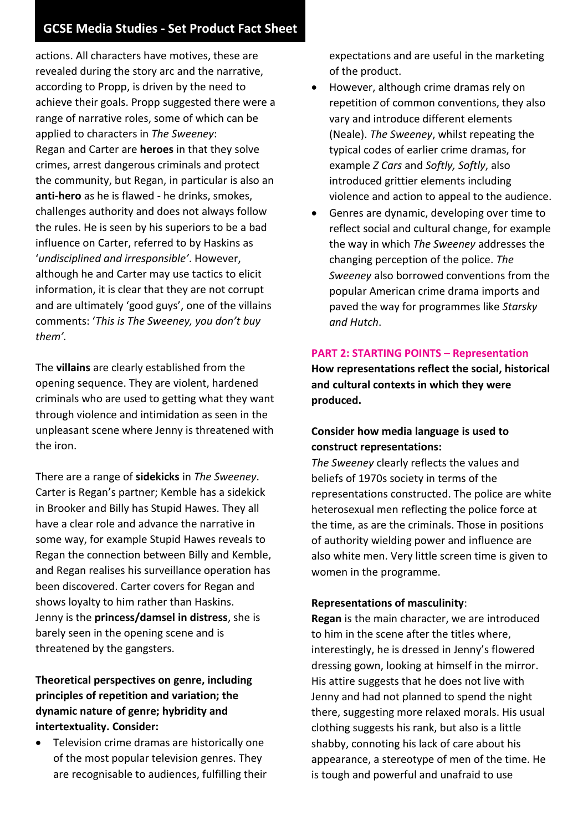#### **GCSE Media Studies - Set Product Fact Sheet**

actions. All characters have motives, these are revealed during the story arc and the narrative, according to Propp, is driven by the need to achieve their goals. Propp suggested there were a range of narrative roles, some of which can be applied to characters in *The Sweeney*: Regan and Carter are **heroes** in that they solve crimes, arrest dangerous criminals and protect the community, but Regan, in particular is also an **anti-hero** as he is flawed - he drinks, smokes, challenges authority and does not always follow the rules. He is seen by his superiors to be a bad influence on Carter, referred to by Haskins as '*undisciplined and irresponsible'*. However, although he and Carter may use tactics to elicit information, it is clear that they are not corrupt and are ultimately 'good guys', one of the villains comments: '*This is The Sweeney, you don't buy them'.*

The **villains** are clearly established from the opening sequence. They are violent, hardened criminals who are used to getting what they want through violence and intimidation as seen in the unpleasant scene where Jenny is threatened with the iron.

There are a range of **sidekicks** in *The Sweeney*. Carter is Regan's partner; Kemble has a sidekick in Brooker and Billy has Stupid Hawes. They all have a clear role and advance the narrative in some way, for example Stupid Hawes reveals to Regan the connection between Billy and Kemble, and Regan realises his surveillance operation has been discovered. Carter covers for Regan and shows loyalty to him rather than Haskins. Jenny is the **princess/damsel in distress**, she is barely seen in the opening scene and is threatened by the gangsters.

**Theoretical perspectives on genre, including principles of repetition and variation; the dynamic nature of genre; hybridity and intertextuality. Consider:**

• Television crime dramas are historically one of the most popular television genres. They are recognisable to audiences, fulfilling their expectations and are useful in the marketing of the product.

- However, although crime dramas rely on repetition of common conventions, they also vary and introduce different elements (Neale). *The Sweeney*, whilst repeating the typical codes of earlier crime dramas, for example *Z Cars* and *Softly, Softly*, also introduced grittier elements including violence and action to appeal to the audience.
- Genres are dynamic, developing over time to reflect social and cultural change, for example the way in which *The Sweeney* addresses the changing perception of the police. *The Sweeney* also borrowed conventions from the popular American crime drama imports and paved the way for programmes like *Starsky and Hutch*.

#### **PART 2: STARTING POINTS – Representation**

**How representations reflect the social, historical and cultural contexts in which they were produced.** 

#### **Consider how media language is used to construct representations:**

*The Sweeney* clearly reflects the values and beliefs of 1970s society in terms of the representations constructed. The police are white heterosexual men reflecting the police force at the time, as are the criminals. Those in positions of authority wielding power and influence are also white men. Very little screen time is given to women in the programme.

#### **Representations of masculinity**:

**Regan** is the main character, we are introduced to him in the scene after the titles where, interestingly, he is dressed in Jenny's flowered dressing gown, looking at himself in the mirror. His attire suggests that he does not live with Jenny and had not planned to spend the night there, suggesting more relaxed morals. His usual clothing suggests his rank, but also is a little shabby, connoting his lack of care about his appearance, a stereotype of men of the time. He is tough and powerful and unafraid to use